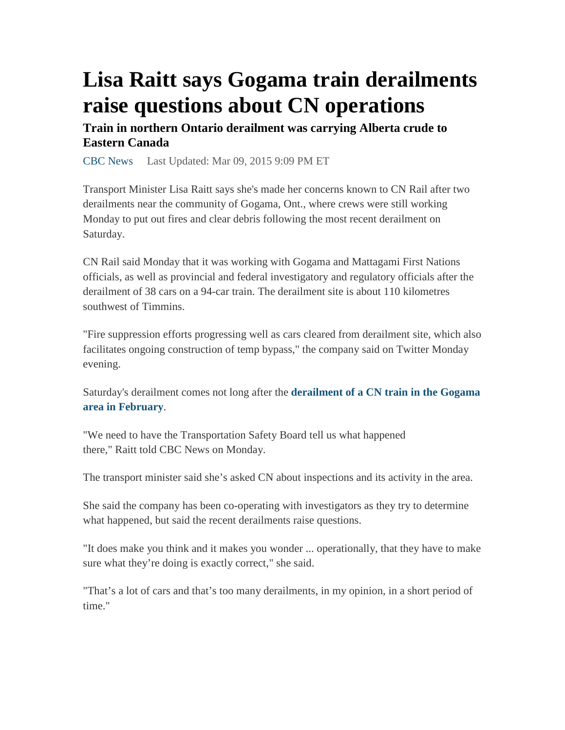## **Lisa Raitt says Gogama train derailments raise questions about CN operations**

**Train in northern Ontario derailment was carrying Alberta crude to Eastern Canada** 

CBC News Last Updated: Mar 09, 2015 9:09 PM ET

Transport Minister Lisa Raitt says she's made her concerns known to CN Rail after two derailments near the community of Gogama, Ont., where crews were still working Monday to put out fires and clear debris following the most recent derailment on Saturday.

CN Rail said Monday that it was working with Gogama and Mattagami First Nations officials, as well as provincial and federal investigatory and regulatory officials after the derailment of 38 cars on a 94-car train. The derailment site is about 110 kilometres southwest of Timmins.

"Fire suppression efforts progressing well as cars cleared from derailment site, which also facilitates ongoing construction of temp bypass," the company said on Twitter Monday evening.

Saturday's derailment comes not long after the **derailment of a CN train in the Gogama area in February**.

"We need to have the Transportation Safety Board tell us what happened there," Raitt told CBC News on Monday.

The transport minister said she's asked CN about inspections and its activity in the area.

She said the company has been co-operating with investigators as they try to determine what happened, but said the recent derailments raise questions.

"It does make you think and it makes you wonder ... operationally, that they have to make sure what they're doing is exactly correct," she said.

"That's a lot of cars and that's too many derailments, in my opinion, in a short period of time."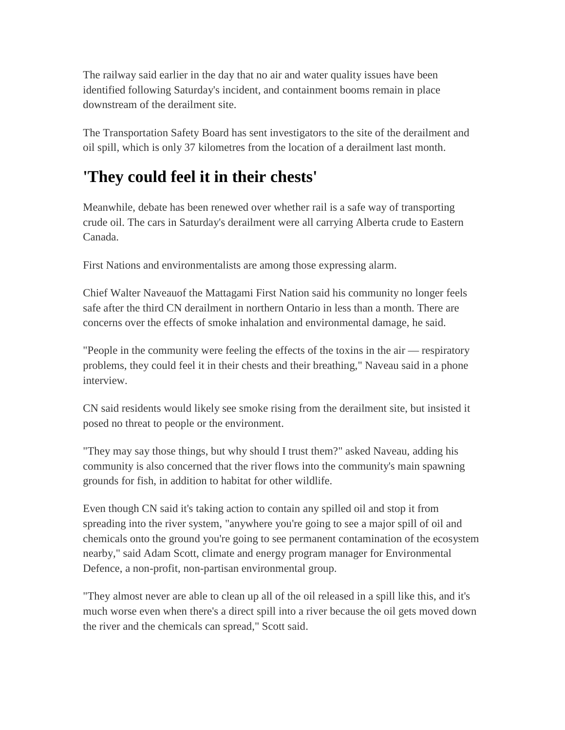The railway said earlier in the day that no air and water quality issues have been identified following Saturday's incident, and containment booms remain in place downstream of the derailment site.

The Transportation Safety Board has sent investigators to the site of the derailment and oil spill, which is only 37 kilometres from the location of a derailment last month.

## **'They could feel it in their chests'**

Meanwhile, debate has been renewed over whether rail is a safe way of transporting crude oil. The cars in Saturday's derailment were all carrying Alberta crude to Eastern Canada.

First Nations and environmentalists are among those expressing alarm.

Chief Walter Naveauof the Mattagami First Nation said his community no longer feels safe after the third CN derailment in northern Ontario in less than a month. There are concerns over the effects of smoke inhalation and environmental damage, he said.

"People in the community were feeling the effects of the toxins in the air — respiratory problems, they could feel it in their chests and their breathing," Naveau said in a phone interview.

CN said residents would likely see smoke rising from the derailment site, but insisted it posed no threat to people or the environment.

"They may say those things, but why should I trust them?" asked Naveau, adding his community is also concerned that the river flows into the community's main spawning grounds for fish, in addition to habitat for other wildlife.

Even though CN said it's taking action to contain any spilled oil and stop it from spreading into the river system, "anywhere you're going to see a major spill of oil and chemicals onto the ground you're going to see permanent contamination of the ecosystem nearby," said Adam Scott, climate and energy program manager for Environmental Defence, a non-profit, non-partisan environmental group.

"They almost never are able to clean up all of the oil released in a spill like this, and it's much worse even when there's a direct spill into a river because the oil gets moved down the river and the chemicals can spread," Scott said.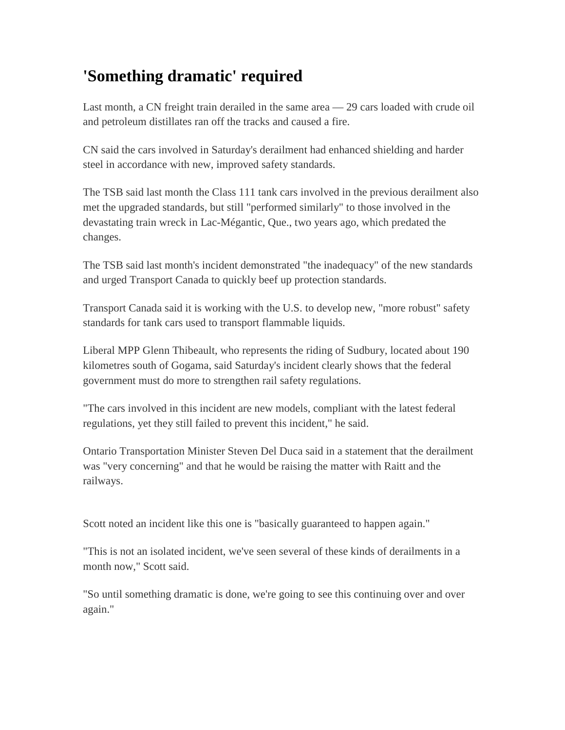## **'Something dramatic' required**

Last month, a CN freight train derailed in the same area — 29 cars loaded with crude oil and petroleum distillates ran off the tracks and caused a fire.

CN said the cars involved in Saturday's derailment had enhanced shielding and harder steel in accordance with new, improved safety standards.

The TSB said last month the Class 111 tank cars involved in the previous derailment also met the upgraded standards, but still "performed similarly" to those involved in the devastating train wreck in Lac-Mégantic, Que., two years ago, which predated the changes.

The TSB said last month's incident demonstrated "the inadequacy" of the new standards and urged Transport Canada to quickly beef up protection standards.

Transport Canada said it is working with the U.S. to develop new, "more robust" safety standards for tank cars used to transport flammable liquids.

Liberal MPP Glenn Thibeault, who represents the riding of Sudbury, located about 190 kilometres south of Gogama, said Saturday's incident clearly shows that the federal government must do more to strengthen rail safety regulations.

"The cars involved in this incident are new models, compliant with the latest federal regulations, yet they still failed to prevent this incident," he said.

Ontario Transportation Minister Steven Del Duca said in a statement that the derailment was "very concerning" and that he would be raising the matter with Raitt and the railways.

Scott noted an incident like this one is "basically guaranteed to happen again."

"This is not an isolated incident, we've seen several of these kinds of derailments in a month now," Scott said.

"So until something dramatic is done, we're going to see this continuing over and over again."